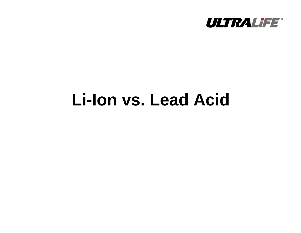

# **Li-Ion vs. Lead Acid**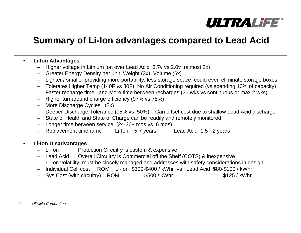

### **Summary of Li-Ion advantages compared to Lead Acid**

#### $\bullet$ **Li-Ion Advantages**

- Higher voltage in Lithium Ion over Lead Acid 3.7v vs 2.0v (almost 2x)
- Greater Energy Density per unit Weight (3x), Volume (6x)
- Lighter / smaller providing more portability, less storage space, could even eliminate storage boxes
- Tolerates Higher Temp (140F vs 80F), No Air Conditioning required (vs spending 10% of capacity)
- Faster recharge time, and More time between recharges (26 wks vs continuous or max 2 wks)
- Higher turnaround charge efficiency (97% vs 75%)
- More Discharge Cycles (2x)
- Deeper Discharge Tolerance (95% vs 50%) Can offset cost due to shallow Lead Acid discharge
- State of Health and State of Charge can be readily and remotely monitored
- Longer time between service (24-36+ mos vs 6 mos)
- Replacement timeframe Li-Ion 5-7 years Lead Acid 1.5 2 years

#### •**Li-Ion Disadvantages**

- –**Protection Circuitry is custom & expensive**
- Lead Acid Overall Circuitry is Commercial off the Shelf (COTS) & inexpensive
- Li-Ion volatility must be closely managed and addresses with safety considerations in design
- Individual Cell cost ROM Li-Ion \$300-\$400 / kWhr vs Lead Acid \$80-\$100 / kWhr
- Sys Cost (with circuitry) ROM \$500 / kWhr \$125 / kWhr

 $\mathcal{P}$ *Ultralife Corporation*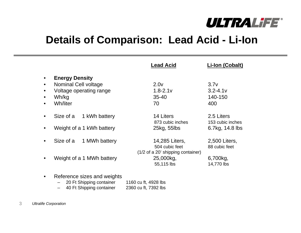

## **Details of Comparison: Lead Acid - Li-Ion**

|                        |                                                                                               | <b>Lead Acid</b>                                                      | Li-Ion (Cobalt)                                   |
|------------------------|-----------------------------------------------------------------------------------------------|-----------------------------------------------------------------------|---------------------------------------------------|
| $\bullet$<br>$\bullet$ | <b>Energy Density</b><br>Nominal Cell voltage<br>Voltage operating range<br>Wh/kg<br>Wh/liter | 2.0 <sub>V</sub><br>$1.8 - 2.1v$<br>$35 - 40$<br>70                   | 3.7v<br>$3.2 - 4.1v$<br>140-150<br>400            |
|                        | Size of a<br>1 kWh battery<br>Weight of a 1 kWh battery                                       | 14 Liters<br>873 cubic inches<br>25kg, 55lbs                          | 2.5 Liters<br>153 cubic inches<br>6.7kg, 14.8 lbs |
| $\bullet$              | Size of a<br>1 MWh battery                                                                    | 14,285 Liters,<br>504 cubic feet<br>(1/2 of a 20' shipping container) | 2,500 Liters,<br>88 cubic feet                    |
|                        | Weight of a 1 MWh battery                                                                     | 25,000kg,<br>55,115 lbs                                               | 6,700kg,<br>14,770 lbs                            |
| $\bullet$              | Reference sizes and weights<br>20 Ft Shipping container                                       | 1160 cu ft, 4928 lbs                                                  |                                                   |

- –40 Ft Shipping container 2360 cu ft, 7392 lbs
- 3*Ultralife Corporation*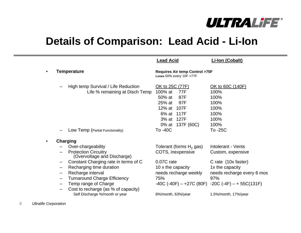

### **Details of Comparison: Lead Acid - Li-Ion**

|                              |                                                                       | <b>Lead Acid</b>                                                                                                                          | <b>Li-lon (Cobalt)</b>                                                          |
|------------------------------|-----------------------------------------------------------------------|-------------------------------------------------------------------------------------------------------------------------------------------|---------------------------------------------------------------------------------|
| Temperature                  |                                                                       | <b>Requires Air temp Control &gt;75F</b><br>Loses 50% every 10F >77F                                                                      |                                                                                 |
|                              | High temp Survival / Life Reduction<br>Life % remaining at Disch Temp | <u>OK to 25C (77F)</u><br>100% at<br>77F<br>50% at<br>87F<br>97F<br>25% at<br>12% at 107F<br>6% at 117F<br>3% at 127F<br>0% at 137F (60C) | <u>OK to 60C (140F)</u><br>100%<br>100%<br>100%<br>100%<br>100%<br>100%<br>100% |
|                              | Low Temp (Partial Functionality)                                      | To -40C                                                                                                                                   | To -25C                                                                         |
|                              | <b>Charging</b>                                                       |                                                                                                                                           |                                                                                 |
|                              | Over-chargeability                                                    | Tolerant (forms $H_2$ gas)                                                                                                                | Intolerant - Vents                                                              |
|                              | <b>Protection Circuitry</b><br>(Overvoltage and Discharge)            | COTS, inexpensive                                                                                                                         | Custom, expensive                                                               |
|                              | Constant Charging rate in terms of C                                  | 0.07C rate                                                                                                                                | C rate (10x faster)                                                             |
|                              | Recharging time duration                                              | 10 x the capacity                                                                                                                         | 1x the capacity                                                                 |
| $\qquad \qquad \blacksquare$ | Recharge interval                                                     | needs recharge weekly                                                                                                                     | needs recharge every 6 mos                                                      |
| $\overline{\phantom{m}}$     | <b>Turnaround Charge Efficiency</b>                                   | 75%                                                                                                                                       | 97%                                                                             |
|                              | Temp range of Charge                                                  |                                                                                                                                           | $-40C$ (-40F) $-$ +27C (80F) $-20C$ (-4F) $-$ + 55C(131F)                       |
|                              | Cost to recharge (as % of capacity)<br>Self Discharge %/month or year | 8%/month, 63%/year                                                                                                                        | 1.5%/month, 17%/year                                                            |

4*Ultralife Corporation*